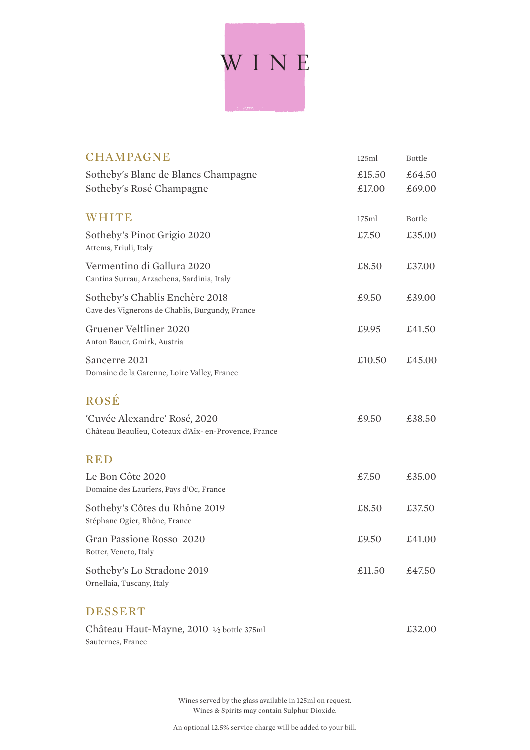# WINE

| <b>CHAMPAGNE</b>                                                                     | 125ml            | <b>Bottle</b>    |
|--------------------------------------------------------------------------------------|------------------|------------------|
| Sotheby's Blanc de Blancs Champagne<br>Sotheby's Rosé Champagne                      | £15.50<br>£17.00 | £64.50<br>£69.00 |
| <b>WHITE</b>                                                                         | 175ml            | <b>Bottle</b>    |
| Sotheby's Pinot Grigio 2020<br>Attems, Friuli, Italy                                 | £7.50            | £35.00           |
| Vermentino di Gallura 2020<br>Cantina Surrau, Arzachena, Sardinia, Italy             | £8.50            | £37.00           |
| Sotheby's Chablis Enchère 2018<br>Cave des Vignerons de Chablis, Burgundy, France    | £9.50            | £39.00           |
| Gruener Veltliner 2020<br>Anton Bauer, Gmirk, Austria                                | £9.95            | £41.50           |
| Sancerre 2021<br>Domaine de la Garenne, Loire Valley, France                         | £10.50           | £45.00           |
| <b>ROSÉ</b>                                                                          |                  |                  |
| 'Cuvée Alexandre' Rosé, 2020<br>Château Beaulieu, Coteaux d'Aix- en-Provence, France | £9.50            | £38.50           |
| <b>RED</b>                                                                           |                  |                  |
| Le Bon Côte 2020<br>Domaine des Lauriers, Pays d'Oc, France                          | £7.50            | £35.00           |
| Sotheby's Côtes du Rhône 2019<br>Stéphane Ogier, Rhône, France                       | £8.50            | £37.50           |
| Gran Passione Rosso 2020<br>Botter, Veneto, Italy                                    | £9.50            | £41.00           |
| Sotheby's Lo Stradone 2019<br>Ornellaia, Tuscany, Italy                              | £11.50           | £47.50           |
| <b>DESSERT</b>                                                                       |                  |                  |
| Château Haut-Mayne, 2010 1/2 bottle 375ml                                            |                  | £32.00           |

Wines served by the glass available in 125ml on request. Wines & Spirits may contain Sulphur Dioxide.

Sauternes, France